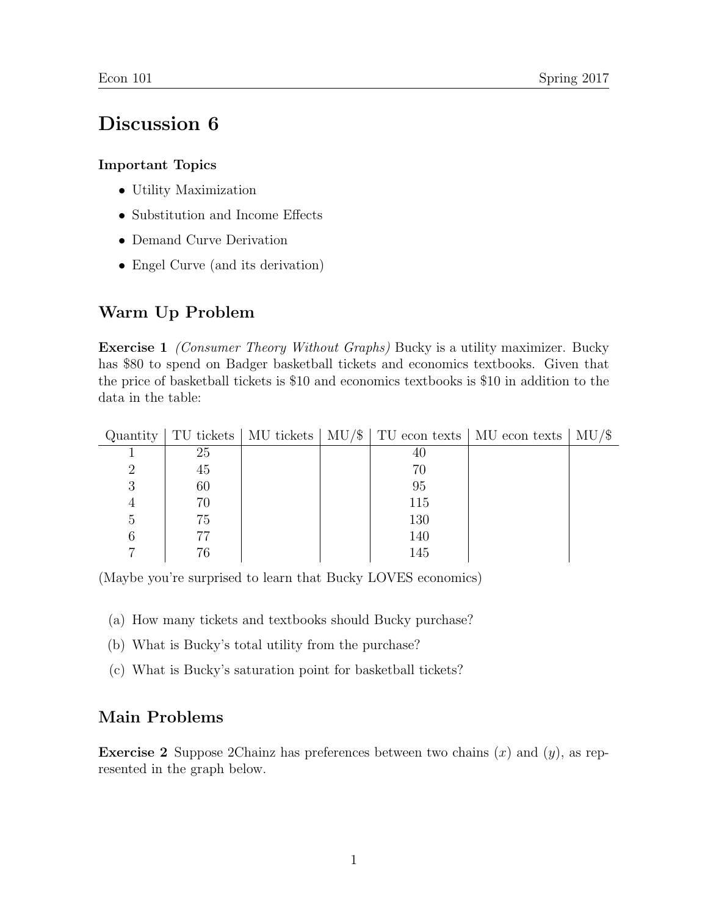## Discussion 6

## Important Topics

- Utility Maximization
- Substitution and Income Effects
- Demand Curve Derivation
- Engel Curve (and its derivation)

## Warm Up Problem

**Exercise 1** *(Consumer Theory Without Graphs)* Bucky is a utility maximizer. Bucky has \$80 to spend on Badger basketball tickets and economics textbooks. Given that the price of basketball tickets is \$10 and economics textbooks is \$10 in addition to the data in the table:

|   |    |  |     | Quantity   TU tickets   MU tickets   MU/ $\frac{1}{\sqrt{2}}$   TU econ texts   MU econ texts   MU/ $\frac{1}{\sqrt{2}}$ |  |
|---|----|--|-----|--------------------------------------------------------------------------------------------------------------------------|--|
|   | 25 |  | 40  |                                                                                                                          |  |
| റ | 45 |  | 70  |                                                                                                                          |  |
| 3 | 60 |  | 95  |                                                                                                                          |  |
| 4 | 70 |  | 115 |                                                                                                                          |  |
| 5 | 75 |  | 130 |                                                                                                                          |  |
| 6 | 77 |  | 140 |                                                                                                                          |  |
|   | 76 |  | 145 |                                                                                                                          |  |

(Maybe you're surprised to learn that Bucky LOVES economics)

- (a) How many tickets and textbooks should Bucky purchase?
- (b) What is Bucky's total utility from the purchase?
- (c) What is Bucky's saturation point for basketball tickets?

## Main Problems

**Exercise 2** Suppose 2Chainz has preferences between two chains  $(x)$  and  $(y)$ , as represented in the graph below.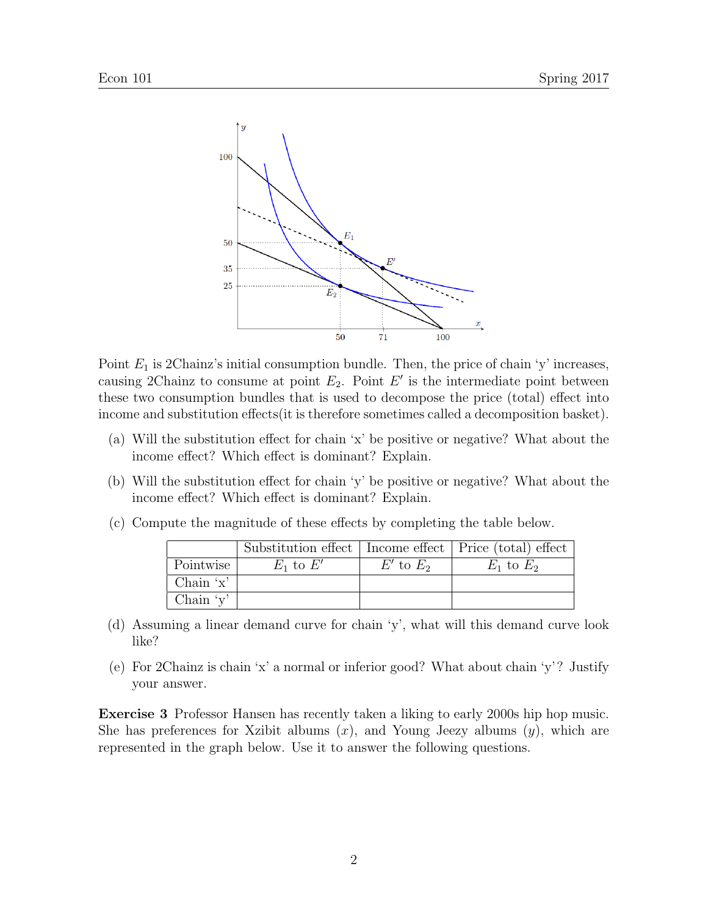

Point  $E_1$  is 2Chainz's initial consumption bundle. Then, the price of chain 'y' increases, causing 2Chainz to consume at point  $E_2$ . Point  $E'$  is the intermediate point between these two consumption bundles that is used to decompose the price (total) effect into income and substitution effects(it is therefore sometimes called a decomposition basket).

- (a) Will the substitution effect for chain 'x' be positive or negative? What about the income effect? Which effect is dominant? Explain.
- (b) Will the substitution effect for chain 'y' be positive or negative? What about the income effect? Which effect is dominant? Explain.
- (c) Compute the magnitude of these effects by completing the table below.

|                 |               |               | Substitution effect   Income effect   Price (total) effect |
|-----------------|---------------|---------------|------------------------------------------------------------|
| Pointwise       | $E_1$ to $E'$ | $E'$ to $E_2$ | $E_1$ to $E_2$                                             |
| Chain $x'$      |               |               |                                                            |
| Chain $\forall$ |               |               |                                                            |

- (d) Assuming a linear demand curve for chain 'y', what will this demand curve look like?
- (e) For 2Chainz is chain 'x' a normal or inferior good? What about chain 'y'? Justify your answer.

Exercise 3 Professor Hansen has recently taken a liking to early 2000s hip hop music. She has preferences for Xzibit albums  $(x)$ , and Young Jeezy albums  $(y)$ , which are represented in the graph below. Use it to answer the following questions.